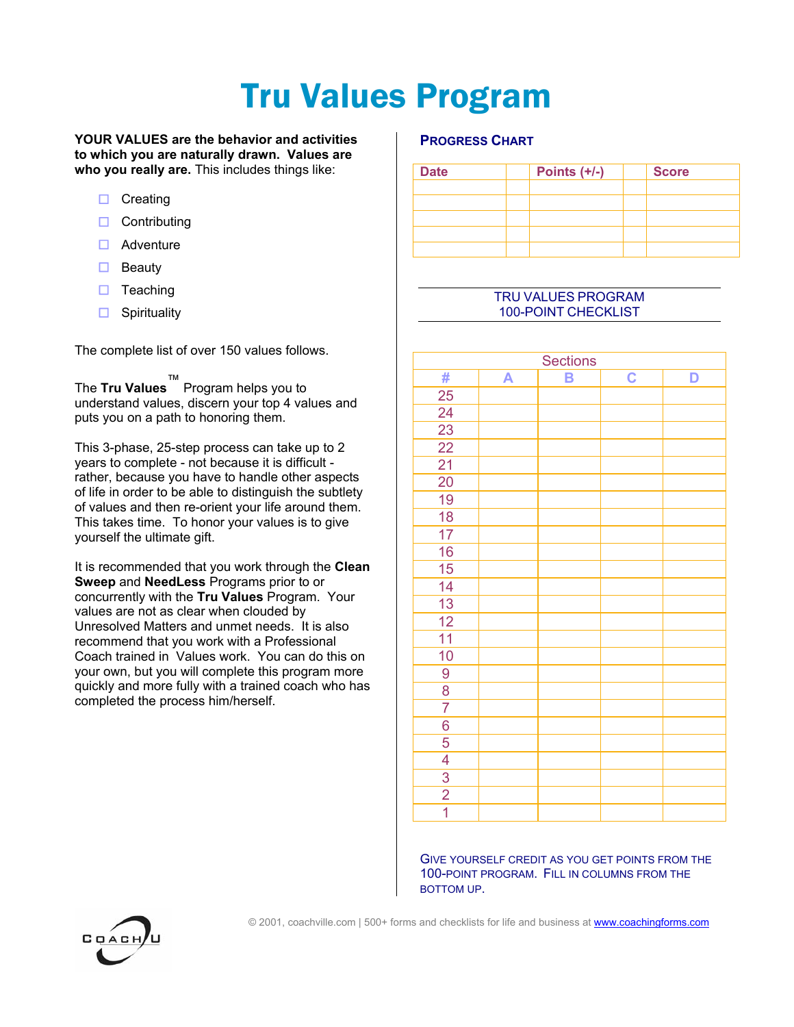## Tru Values Program

#### **YOUR VALUES are the behavior and activities to which you are naturally drawn. Values are who you really are.** This includes things like:

- $\square$  Creating
- $\Box$  Contributing
- $\Box$  Adventure
- $\Box$  Beauty
- $\Box$  Teaching
- $\Box$  Spirituality

The complete list of over 150 values follows.

The **Tru Values**™ Program helps you to understand values, discern your top 4 values and puts you on a path to honoring them.

This 3-phase, 25-step process can take up to 2 years to complete - not because it is difficult rather, because you have to handle other aspects of life in order to be able to distinguish the subtlety of values and then re-orient your life around them. This takes time. To honor your values is to give yourself the ultimate gift.

It is recommended that you work through the **Clean Sweep** and **NeedLess** Programs prior to or concurrently with the **Tru Values** Program. Your values are not as clear when clouded by Unresolved Matters and unmet needs. It is also recommend that you work with a Professional Coach trained in Values work. You can do this on your own, but you will complete this program more quickly and more fully with a trained coach who has completed the process him/herself.

#### **PROGRESS CHART**

| <b>Date</b> | Points $(+/-)$ | <b>Score</b> |  |
|-------------|----------------|--------------|--|
|             |                |              |  |
|             |                |              |  |
|             |                |              |  |
|             |                |              |  |
|             |                |              |  |

#### TRU VALUES PROGRAM 100-POINT CHECKLIST

| Sections        |   |   |                         |   |  |  |
|-----------------|---|---|-------------------------|---|--|--|
| #               | A | B | $\overline{\mathbf{C}}$ | D |  |  |
| 25              |   |   |                         |   |  |  |
| 24              |   |   |                         |   |  |  |
| $\overline{23}$ |   |   |                         |   |  |  |
| $\overline{22}$ |   |   |                         |   |  |  |
| 21              |   |   |                         |   |  |  |
| 20              |   |   |                         |   |  |  |
| 19              |   |   |                         |   |  |  |
| 18              |   |   |                         |   |  |  |
| 17              |   |   |                         |   |  |  |
| 16              |   |   |                         |   |  |  |
| 15              |   |   |                         |   |  |  |
| 14              |   |   |                         |   |  |  |
| $\overline{13}$ |   |   |                         |   |  |  |
| $\overline{12}$ |   |   |                         |   |  |  |
| $\overline{11}$ |   |   |                         |   |  |  |
| 10              |   |   |                         |   |  |  |
| 9               |   |   |                         |   |  |  |
| $\overline{8}$  |   |   |                         |   |  |  |
| $\overline{7}$  |   |   |                         |   |  |  |
| 6               |   |   |                         |   |  |  |
| $\overline{5}$  |   |   |                         |   |  |  |
| $\overline{4}$  |   |   |                         |   |  |  |
| $\overline{3}$  |   |   |                         |   |  |  |
| $\overline{2}$  |   |   |                         |   |  |  |
| $\overline{1}$  |   |   |                         |   |  |  |

GIVE YOURSELF CREDIT AS YOU GET POINTS FROM THE 100-POINT PROGRAM. FILL IN COLUMNS FROM THE BOTTOM UP.

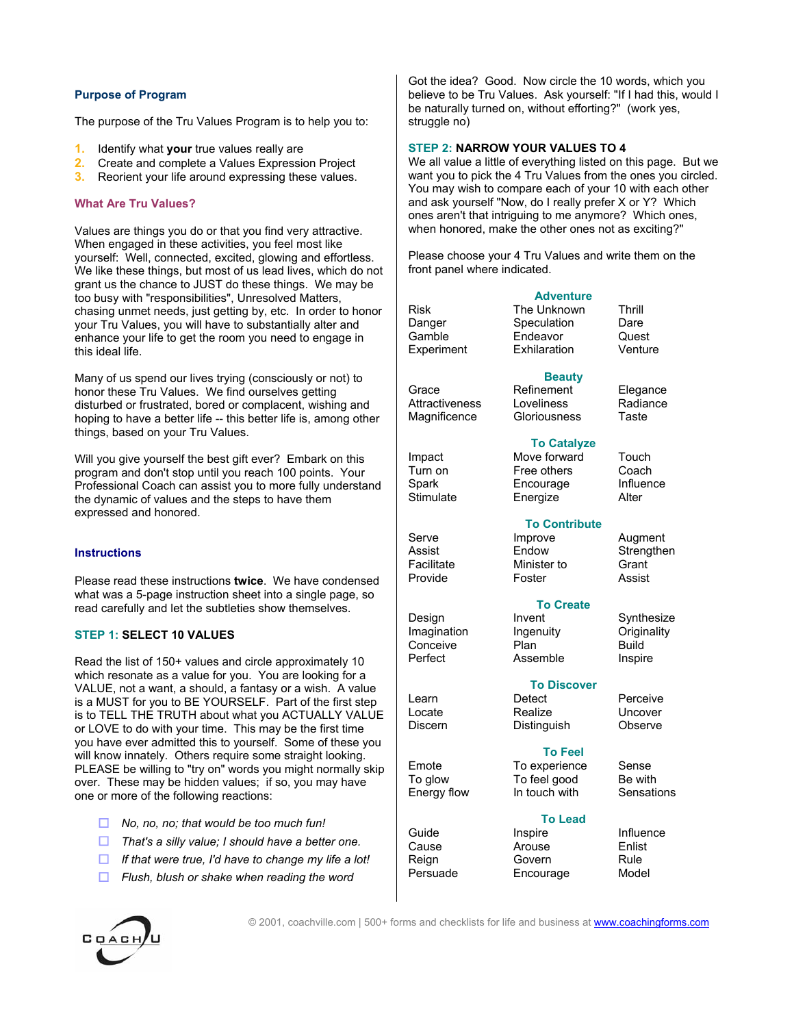#### **Purpose of Program**

The purpose of the Tru Values Program is to help you to:

- **1.** Identify what **your** true values really are
- **2.** Create and complete a Values Expression Project
- **3.** Reorient your life around expressing these values.

#### **What Are Tru Values?**

Values are things you do or that you find very attractive. When engaged in these activities, you feel most like yourself: Well, connected, excited, glowing and effortless. We like these things, but most of us lead lives, which do not grant us the chance to JUST do these things. We may be too busy with "responsibilities", Unresolved Matters, chasing unmet needs, just getting by, etc. In order to honor your Tru Values, you will have to substantially alter and enhance your life to get the room you need to engage in this ideal life.

Many of us spend our lives trying (consciously or not) to honor these Tru Values. We find ourselves getting disturbed or frustrated, bored or complacent, wishing and hoping to have a better life -- this better life is, among other things, based on your Tru Values.

Will you give yourself the best gift ever? Embark on this program and don't stop until you reach 100 points. Your Professional Coach can assist you to more fully understand the dynamic of values and the steps to have them expressed and honored.

#### **Instructions**

Please read these instructions **twice**. We have condensed what was a 5-page instruction sheet into a single page, so read carefully and let the subtleties show themselves.

#### **STEP 1: SELECT 10 VALUES**

Read the list of 150+ values and circle approximately 10 which resonate as a value for you. You are looking for a VALUE, not a want, a should, a fantasy or a wish. A value is a MUST for you to BE YOURSELF. Part of the first step is to TELL THE TRUTH about what you ACTUALLY VALUE or LOVE to do with your time. This may be the first time you have ever admitted this to yourself. Some of these you will know innately. Others require some straight looking. PLEASE be willing to "try on" words you might normally skip over. These may be hidden values; if so, you may have one or more of the following reactions:

- *No, no, no; that would be too much fun!*
- *That's a silly value; I should have a better one.*
- *If that were true, I'd have to change my life a lot!*
- *Flush, blush or shake when reading the word*



Got the idea? Good. Now circle the 10 words, which you believe to be Tru Values. Ask yourself: "If I had this, would I be naturally turned on, without efforting?" (work yes, struggle no)

#### **STEP 2: NARROW YOUR VALUES TO 4**

We all value a little of everything listed on this page. But we want you to pick the 4 Tru Values from the ones you circled. You may wish to compare each of your 10 with each other and ask yourself "Now, do I really prefer X or Y? Which ones aren't that intriguing to me anymore? Which ones, when honored, make the other ones not as exciting?"

Please choose your 4 Tru Values and write them on the front panel where indicated.

Exhilaration

**Adventure** The Unknown Thrill Speculation Dare Endeavor Quest<br>Exhilaration Venture

**Beauty**

**To Catalyze**

| Risk       |  |
|------------|--|
| Danger     |  |
| Gamble     |  |
| Experiment |  |
|            |  |

Grace Refinement Elegance Attractiveness Loveliness Radiance Magnificence Gloriousness Taste

Impact Move forward Touch<br>Turn on Free others Coach Turn on Free others Coach

Facilitate **Minister to** Grant Provide Foster Assist

Design Invent Synthesize Imagination Ingenuity Originality Conceive Plan Build<br>
Perfect Assemble Inspir

# Learn Detect Perceive

To glow To feel good Be with<br>
Fnergy flow In touch with Sensations Energy flow In touch with

Guide Inspire Influence

Cause Arouse Enlist Reign Govern Rule Persuade Encourage Model

**Encourage** Stimulate Energize Alter **To Contribute** Serve Improve Augment

Assist Endow Strengthen

#### **To Create**

Assemble Inspire

### **To Discover**

Locate Realize Uncover Discern Distinguish Observe

**To Feel** Emote To experience Sense<br>To glow To feel good Be with

**To Lead**<br>Inspire

© 2001, coachville.com | 500+ forms and checklists for life and business at www.coachingforms.com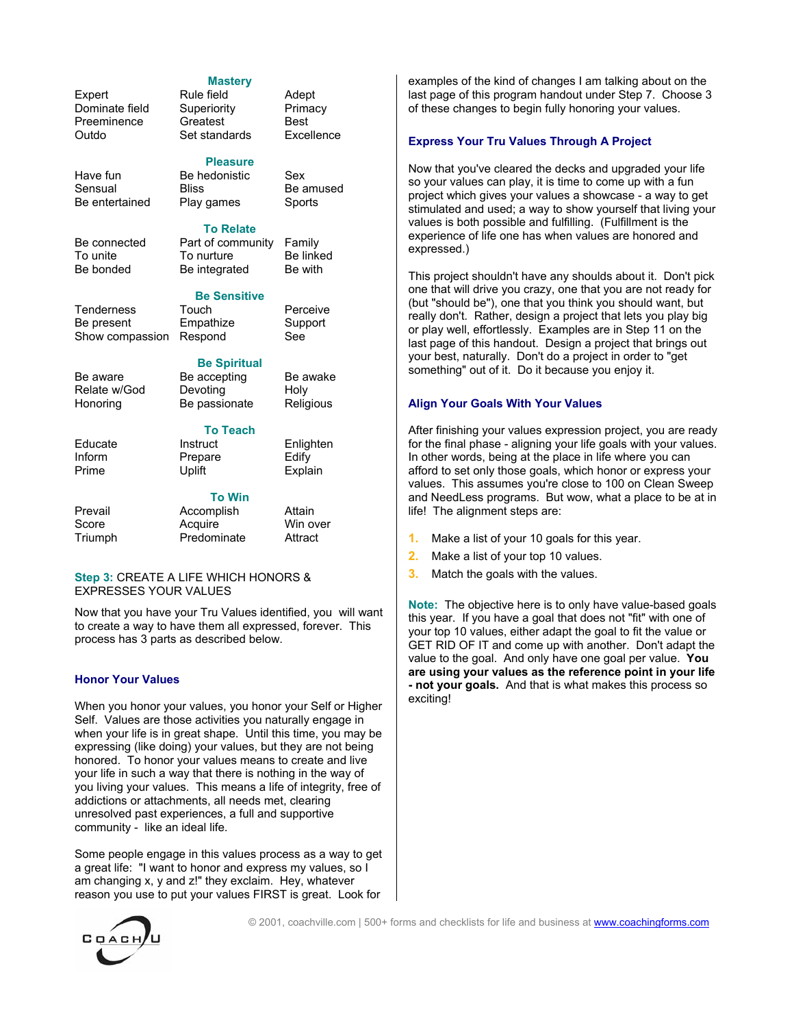### Expert Rule field Adept Dominate field Superiority Primacy<br>Preeminence Greatest Best Preeminence Greatest Best<br>Outdo Set standards Excellence

Have fun Be hedonistic Sex Sensual Bliss Be amused Be entertained Play games Sports

Be connected Part of community Family To unite To nurture Be linked Be bonded Be integrated Be with

Tenderness Touch Perceive Be present Empathize Support Show compassion Respond See

Be aware Be accepting Be awake Relate w/God Devoting Holy Honoring Be passionate Religious

Educate Instruct Enlighten<br>
Inform Prepare Fdify Inform Prepare Edify<br>
Prime Uplift Expla

**To Win**

Prevail **Accomplish** Attain Score **Acquire** Win over Triumph Predominate Attract

**Mastery**

**Pleasure**

**To Relate**

**Be Sensitive** 

**Be Spiritual** 

**To Teach**

Explain

Set standards

#### **Step 3:** CREATE A LIFE WHICH HONORS & EXPRESSES YOUR VALUES

Now that you have your Tru Values identified, you will want to create a way to have them all expressed, forever. This process has 3 parts as described below.

#### **Honor Your Values**

When you honor your values, you honor your Self or Higher Self. Values are those activities you naturally engage in when your life is in great shape. Until this time, you may be expressing (like doing) your values, but they are not being honored. To honor your values means to create and live your life in such a way that there is nothing in the way of you living your values. This means a life of integrity, free of addictions or attachments, all needs met, clearing unresolved past experiences, a full and supportive community - like an ideal life.

Some people engage in this values process as a way to get a great life: "I want to honor and express my values, so I am changing x, y and z!" they exclaim. Hey, whatever reason you use to put your values FIRST is great. Look for

examples of the kind of changes I am talking about on the last page of this program handout under Step 7. Choose 3 of these changes to begin fully honoring your values.

#### **Express Your Tru Values Through A Project**

Now that you've cleared the decks and upgraded your life so your values can play, it is time to come up with a fun project which gives your values a showcase - a way to get stimulated and used; a way to show yourself that living your values is both possible and fulfilling. (Fulfillment is the experience of life one has when values are honored and expressed.)

This project shouldn't have any shoulds about it. Don't pick one that will drive you crazy, one that you are not ready for (but "should be"), one that you think you should want, but really don't. Rather, design a project that lets you play big or play well, effortlessly. Examples are in Step 11 on the last page of this handout. Design a project that brings out your best, naturally. Don't do a project in order to "get something" out of it. Do it because you enjoy it.

#### **Align Your Goals With Your Values**

After finishing your values expression project, you are ready for the final phase - aligning your life goals with your values. In other words, being at the place in life where you can afford to set only those goals, which honor or express your values. This assumes you're close to 100 on Clean Sweep and NeedLess programs. But wow, what a place to be at in life! The alignment steps are:

- **1.** Make a list of your 10 goals for this year.
- **2.** Make a list of your top 10 values.
- **3.** Match the goals with the values.

**Note:** The objective here is to only have value-based goals this year. If you have a goal that does not "fit" with one of your top 10 values, either adapt the goal to fit the value or GET RID OF IT and come up with another. Don't adapt the value to the goal. And only have one goal per value. **You are using your values as the reference point in your life - not your goals.** And that is what makes this process so exciting!